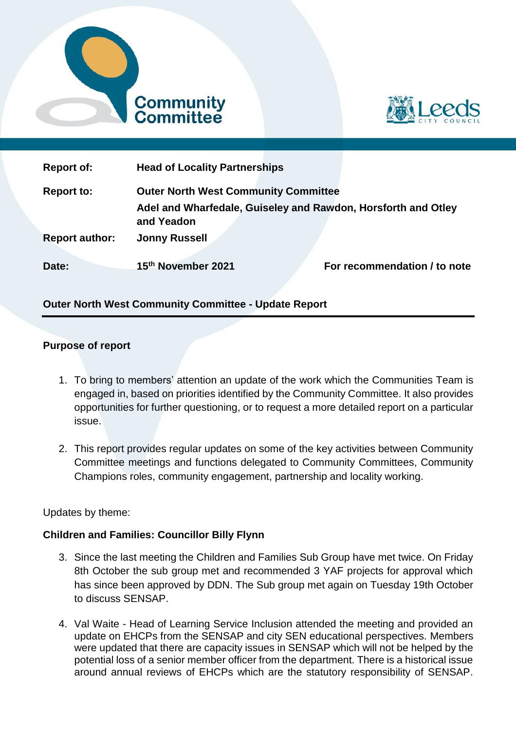



| <b>Report of:</b>     | <b>Head of Locality Partnerships</b>                          |  |                              |
|-----------------------|---------------------------------------------------------------|--|------------------------------|
| <b>Report to:</b>     | <b>Outer North West Community Committee</b>                   |  |                              |
|                       | Adel and Wharfedale, Guiseley and Rawdon, Horsforth and Otley |  |                              |
|                       | and Yeadon                                                    |  |                              |
| <b>Report author:</b> | <b>Jonny Russell</b>                                          |  |                              |
|                       |                                                               |  |                              |
| Date:                 | 15th November 2021                                            |  | For recommendation / to note |

# **Outer North West Community Committee - Update Report**

### **Purpose of report**

- 1. To bring to members' attention an update of the work which the Communities Team is engaged in, based on priorities identified by the Community Committee. It also provides opportunities for further questioning, or to request a more detailed report on a particular issue.
- 2. This report provides regular updates on some of the key activities between Community Committee meetings and functions delegated to Community Committees, Community Champions roles, community engagement, partnership and locality working.

### Updates by theme:

### **Children and Families: Councillor Billy Flynn**

- 3. Since the last meeting the Children and Families Sub Group have met twice. On Friday 8th October the sub group met and recommended 3 YAF projects for approval which has since been approved by DDN. The Sub group met again on Tuesday 19th October to discuss SENSAP.
- 4. Val Waite Head of Learning Service Inclusion attended the meeting and provided an update on EHCPs from the SENSAP and city SEN educational perspectives. Members were updated that there are capacity issues in SENSAP which will not be helped by the potential loss of a senior member officer from the department. There is a historical issue around annual reviews of EHCPs which are the statutory responsibility of SENSAP.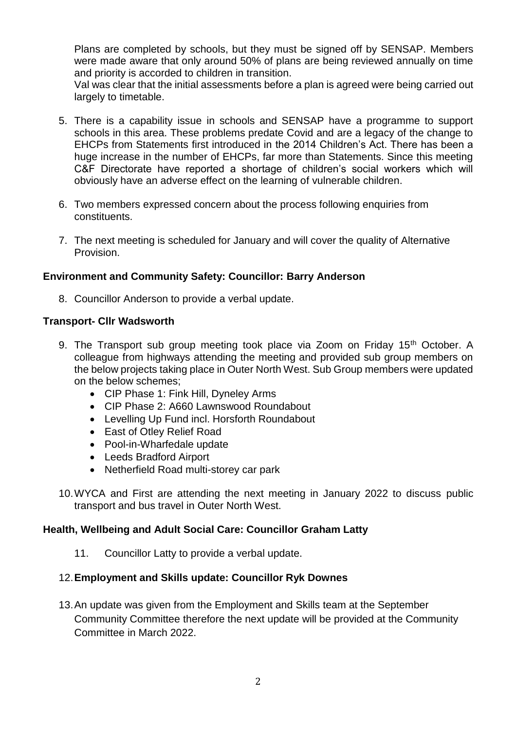Plans are completed by schools, but they must be signed off by SENSAP. Members were made aware that only around 50% of plans are being reviewed annually on time and priority is accorded to children in transition.

Val was clear that the initial assessments before a plan is agreed were being carried out largely to timetable.

- 5. There is a capability issue in schools and SENSAP have a programme to support schools in this area. These problems predate Covid and are a legacy of the change to EHCPs from Statements first introduced in the 2014 Children's Act. There has been a huge increase in the number of EHCPs, far more than Statements. Since this meeting C&F Directorate have reported a shortage of children's social workers which will obviously have an adverse effect on the learning of vulnerable children.
- 6. Two members expressed concern about the process following enquiries from constituents.
- 7. The next meeting is scheduled for January and will cover the quality of Alternative Provision.

# **Environment and Community Safety: Councillor: Barry Anderson**

8. Councillor Anderson to provide a verbal update.

### **Transport- Cllr Wadsworth**

- 9. The Transport sub group meeting took place via Zoom on Friday 15<sup>th</sup> October. A colleague from highways attending the meeting and provided sub group members on the below projects taking place in Outer North West. Sub Group members were updated on the below schemes;
	- CIP Phase 1: Fink Hill, Dyneley Arms
	- CIP Phase 2: A660 Lawnswood Roundabout
	- Levelling Up Fund incl. Horsforth Roundabout
	- East of Otley Relief Road
	- Pool-in-Wharfedale update
	- Leeds Bradford Airport
	- Netherfield Road multi-storey car park
- 10.WYCA and First are attending the next meeting in January 2022 to discuss public transport and bus travel in Outer North West.

#### **Health, Wellbeing and Adult Social Care: Councillor Graham Latty**

11. Councillor Latty to provide a verbal update.

#### 12.**Employment and Skills update: Councillor Ryk Downes**

13.An update was given from the Employment and Skills team at the September Community Committee therefore the next update will be provided at the Community Committee in March 2022.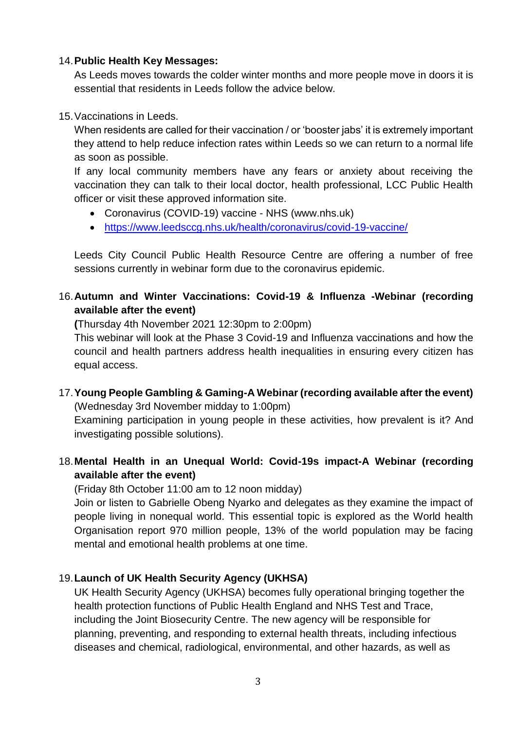## 14.**Public Health Key Messages:**

As Leeds moves towards the colder winter months and more people move in doors it is essential that residents in Leeds follow the advice below.

## 15.Vaccinations in Leeds.

When residents are called for their vaccination / or 'booster jabs' it is extremely important they attend to help reduce infection rates within Leeds so we can return to a normal life as soon as possible.

If any local community members have any fears or anxiety about receiving the vaccination they can talk to their local doctor, health professional, LCC Public Health officer or visit these approved information site.

- Coronavirus (COVID-19) vaccine NHS (www.nhs.uk)
- <https://www.leedsccg.nhs.uk/health/coronavirus/covid-19-vaccine/>

Leeds City Council Public Health Resource Centre are offering a number of free sessions currently in webinar form due to the coronavirus epidemic.

# 16.**Autumn and Winter Vaccinations: Covid-19 & Influenza -Webinar (recording available after the event)**

**(**Thursday 4th November 2021 12:30pm to 2:00pm)

This webinar will look at the Phase 3 Covid-19 and Influenza vaccinations and how the council and health partners address health inequalities in ensuring every citizen has equal access.

17.**Young People Gambling & Gaming-A Webinar (recording available after the event)** (Wednesday 3rd November midday to 1:00pm)

Examining participation in young people in these activities, how prevalent is it? And investigating possible solutions).

# 18.**Mental Health in an Unequal World: Covid-19s impact-A Webinar (recording available after the event)**

(Friday 8th October 11:00 am to 12 noon midday)

Join or listen to Gabrielle Obeng Nyarko and delegates as they examine the impact of people living in nonequal world. This essential topic is explored as the World health Organisation report 970 million people, 13% of the world population may be facing mental and emotional health problems at one time.

# 19.**Launch of UK Health Security Agency (UKHSA)**

UK Health Security Agency (UKHSA) becomes fully operational bringing together the health protection functions of Public Health England and NHS Test and Trace, including the Joint Biosecurity Centre. The new agency will be responsible for planning, preventing, and responding to external health threats, including infectious diseases and chemical, radiological, environmental, and other hazards, as well as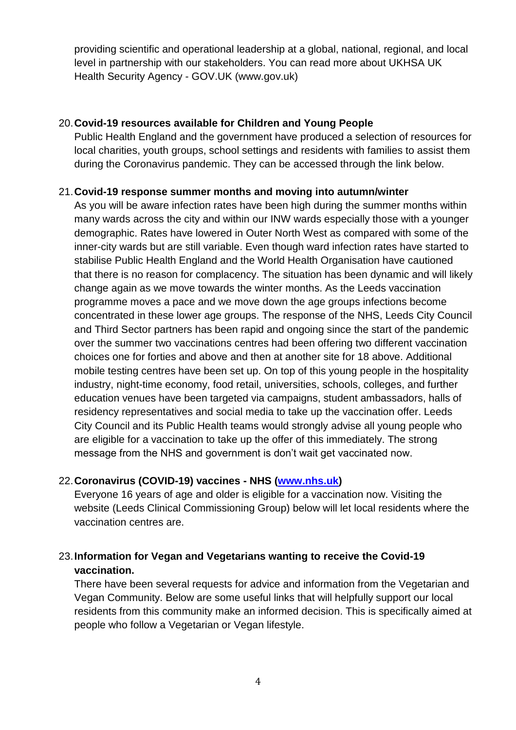providing scientific and operational leadership at a global, national, regional, and local level in partnership with our stakeholders. You can read more about UKHSA UK Health Security Agency - GOV.UK (www.gov.uk)

## 20.**Covid-19 resources available for Children and Young People**

Public Health England and the government have produced a selection of resources for local charities, youth groups, school settings and residents with families to assist them during the Coronavirus pandemic. They can be accessed through the link below.

# 21.**Covid-19 response summer months and moving into autumn/winter**

As you will be aware infection rates have been high during the summer months within many wards across the city and within our INW wards especially those with a younger demographic. Rates have lowered in Outer North West as compared with some of the inner-city wards but are still variable. Even though ward infection rates have started to stabilise Public Health England and the World Health Organisation have cautioned that there is no reason for complacency. The situation has been dynamic and will likely change again as we move towards the winter months. As the Leeds vaccination programme moves a pace and we move down the age groups infections become concentrated in these lower age groups. The response of the NHS, Leeds City Council and Third Sector partners has been rapid and ongoing since the start of the pandemic over the summer two vaccinations centres had been offering two different vaccination choices one for forties and above and then at another site for 18 above. Additional mobile testing centres have been set up. On top of this young people in the hospitality industry, night-time economy, food retail, universities, schools, colleges, and further education venues have been targeted via campaigns, student ambassadors, halls of residency representatives and social media to take up the vaccination offer. Leeds City Council and its Public Health teams would strongly advise all young people who are eligible for a vaccination to take up the offer of this immediately. The strong message from the NHS and government is don't wait get vaccinated now.

# 22.**Coronavirus (COVID-19) vaccines - NHS [\(www.nhs.uk\)](http://www.nhs.uk/)**

Everyone 16 years of age and older is eligible for a vaccination now. Visiting the website (Leeds Clinical Commissioning Group) below will let local residents where the vaccination centres are.

# 23.**Information for Vegan and Vegetarians wanting to receive the Covid-19 vaccination.**

There have been several requests for advice and information from the Vegetarian and Vegan Community. Below are some useful links that will helpfully support our local residents from this community make an informed decision. This is specifically aimed at people who follow a Vegetarian or Vegan lifestyle.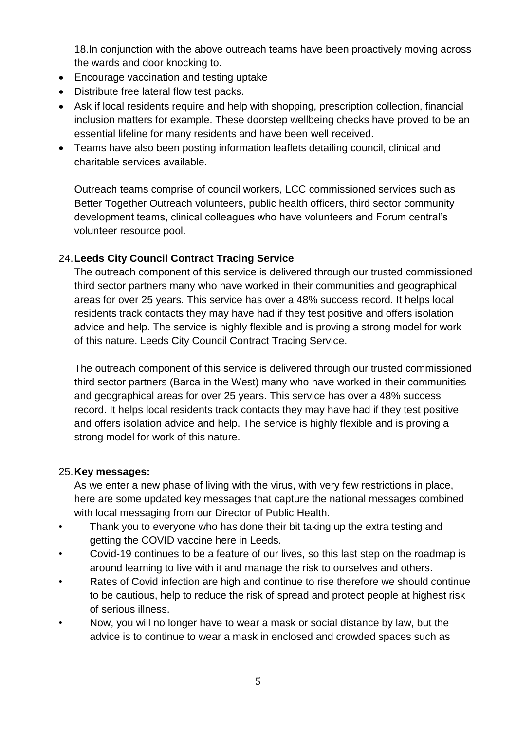18.In conjunction with the above outreach teams have been proactively moving across the wards and door knocking to.

- Encourage vaccination and testing uptake
- Distribute free lateral flow test packs.
- Ask if local residents require and help with shopping, prescription collection, financial inclusion matters for example. These doorstep wellbeing checks have proved to be an essential lifeline for many residents and have been well received.
- Teams have also been posting information leaflets detailing council, clinical and charitable services available.

Outreach teams comprise of council workers, LCC commissioned services such as Better Together Outreach volunteers, public health officers, third sector community development teams, clinical colleagues who have volunteers and Forum central's volunteer resource pool.

# 24.**Leeds City Council Contract Tracing Service**

The outreach component of this service is delivered through our trusted commissioned third sector partners many who have worked in their communities and geographical areas for over 25 years. This service has over a 48% success record. It helps local residents track contacts they may have had if they test positive and offers isolation advice and help. The service is highly flexible and is proving a strong model for work of this nature. Leeds City Council Contract Tracing Service.

The outreach component of this service is delivered through our trusted commissioned third sector partners (Barca in the West) many who have worked in their communities and geographical areas for over 25 years. This service has over a 48% success record. It helps local residents track contacts they may have had if they test positive and offers isolation advice and help. The service is highly flexible and is proving a strong model for work of this nature.

# 25.**Key messages:**

As we enter a new phase of living with the virus, with very few restrictions in place, here are some updated key messages that capture the national messages combined with local messaging from our Director of Public Health.

- Thank you to everyone who has done their bit taking up the extra testing and getting the COVID vaccine here in Leeds.
- Covid-19 continues to be a feature of our lives, so this last step on the roadmap is around learning to live with it and manage the risk to ourselves and others.
- Rates of Covid infection are high and continue to rise therefore we should continue to be cautious, help to reduce the risk of spread and protect people at highest risk of serious illness.
- Now, you will no longer have to wear a mask or social distance by law, but the advice is to continue to wear a mask in enclosed and crowded spaces such as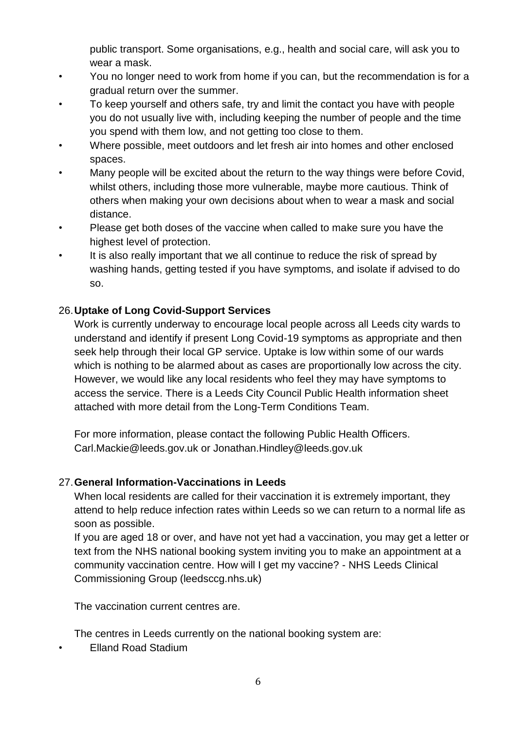public transport. Some organisations, e.g., health and social care, will ask you to wear a mask.

- You no longer need to work from home if you can, but the recommendation is for a gradual return over the summer.
- To keep yourself and others safe, try and limit the contact you have with people you do not usually live with, including keeping the number of people and the time you spend with them low, and not getting too close to them.
- Where possible, meet outdoors and let fresh air into homes and other enclosed spaces.
- Many people will be excited about the return to the way things were before Covid, whilst others, including those more vulnerable, maybe more cautious. Think of others when making your own decisions about when to wear a mask and social distance.
- Please get both doses of the vaccine when called to make sure you have the highest level of protection.
- It is also really important that we all continue to reduce the risk of spread by washing hands, getting tested if you have symptoms, and isolate if advised to do so.

# 26.**Uptake of Long Covid-Support Services**

Work is currently underway to encourage local people across all Leeds city wards to understand and identify if present Long Covid-19 symptoms as appropriate and then seek help through their local GP service. Uptake is low within some of our wards which is nothing to be alarmed about as cases are proportionally low across the city. However, we would like any local residents who feel they may have symptoms to access the service. There is a Leeds City Council Public Health information sheet attached with more detail from the Long-Term Conditions Team.

For more information, please contact the following Public Health Officers. Carl.Mackie@leeds.gov.uk or Jonathan.Hindley@leeds.gov.uk

# 27.**General Information-Vaccinations in Leeds**

When local residents are called for their vaccination it is extremely important, they attend to help reduce infection rates within Leeds so we can return to a normal life as soon as possible.

If you are aged 18 or over, and have not yet had a vaccination, you may get a letter or text from the NHS national booking system inviting you to make an appointment at a community vaccination centre. How will I get my vaccine? - NHS Leeds Clinical Commissioning Group (leedsccg.nhs.uk)

The vaccination current centres are.

The centres in Leeds currently on the national booking system are:

• Elland Road Stadium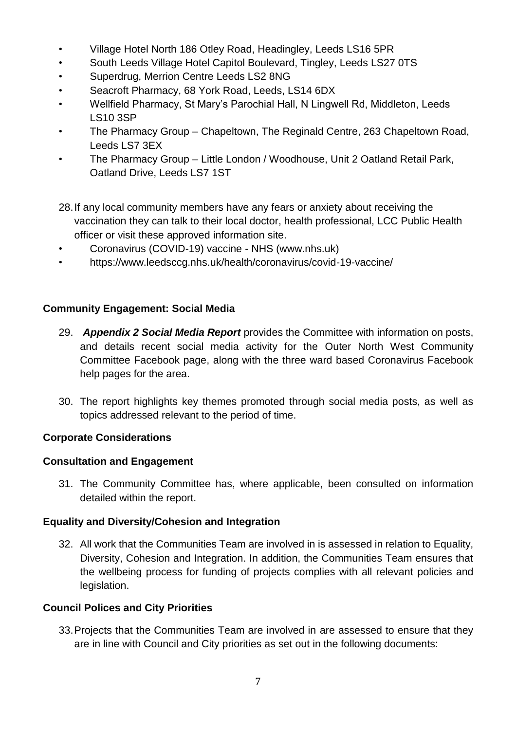- Village Hotel North 186 Otley Road, Headingley, Leeds LS16 5PR
- South Leeds Village Hotel Capitol Boulevard, Tingley, Leeds LS27 0TS
- Superdrug, Merrion Centre Leeds LS2 8NG
- Seacroft Pharmacy, 68 York Road, Leeds, LS14 6DX
- Wellfield Pharmacy, St Mary's Parochial Hall, N Lingwell Rd, Middleton, Leeds LS10 3SP
- The Pharmacy Group Chapeltown, The Reginald Centre, 263 Chapeltown Road, Leeds LS7 3EX
- The Pharmacy Group Little London / Woodhouse, Unit 2 Oatland Retail Park, Oatland Drive, Leeds LS7 1ST
- 28.If any local community members have any fears or anxiety about receiving the vaccination they can talk to their local doctor, health professional, LCC Public Health officer or visit these approved information site.
- Coronavirus (COVID-19) vaccine NHS (www.nhs.uk)
- https://www.leedsccg.nhs.uk/health/coronavirus/covid-19-vaccine/

# **Community Engagement: Social Media**

- 29. *Appendix 2 Social Media Report* provides the Committee with information on posts, and details recent social media activity for the Outer North West Community Committee Facebook page, along with the three ward based Coronavirus Facebook help pages for the area.
- 30. The report highlights key themes promoted through social media posts, as well as topics addressed relevant to the period of time.

# **Corporate Considerations**

# **Consultation and Engagement**

31. The Community Committee has, where applicable, been consulted on information detailed within the report.

# **Equality and Diversity/Cohesion and Integration**

32. All work that the Communities Team are involved in is assessed in relation to Equality, Diversity, Cohesion and Integration. In addition, the Communities Team ensures that the wellbeing process for funding of projects complies with all relevant policies and legislation.

# **Council Polices and City Priorities**

33.Projects that the Communities Team are involved in are assessed to ensure that they are in line with Council and City priorities as set out in the following documents: